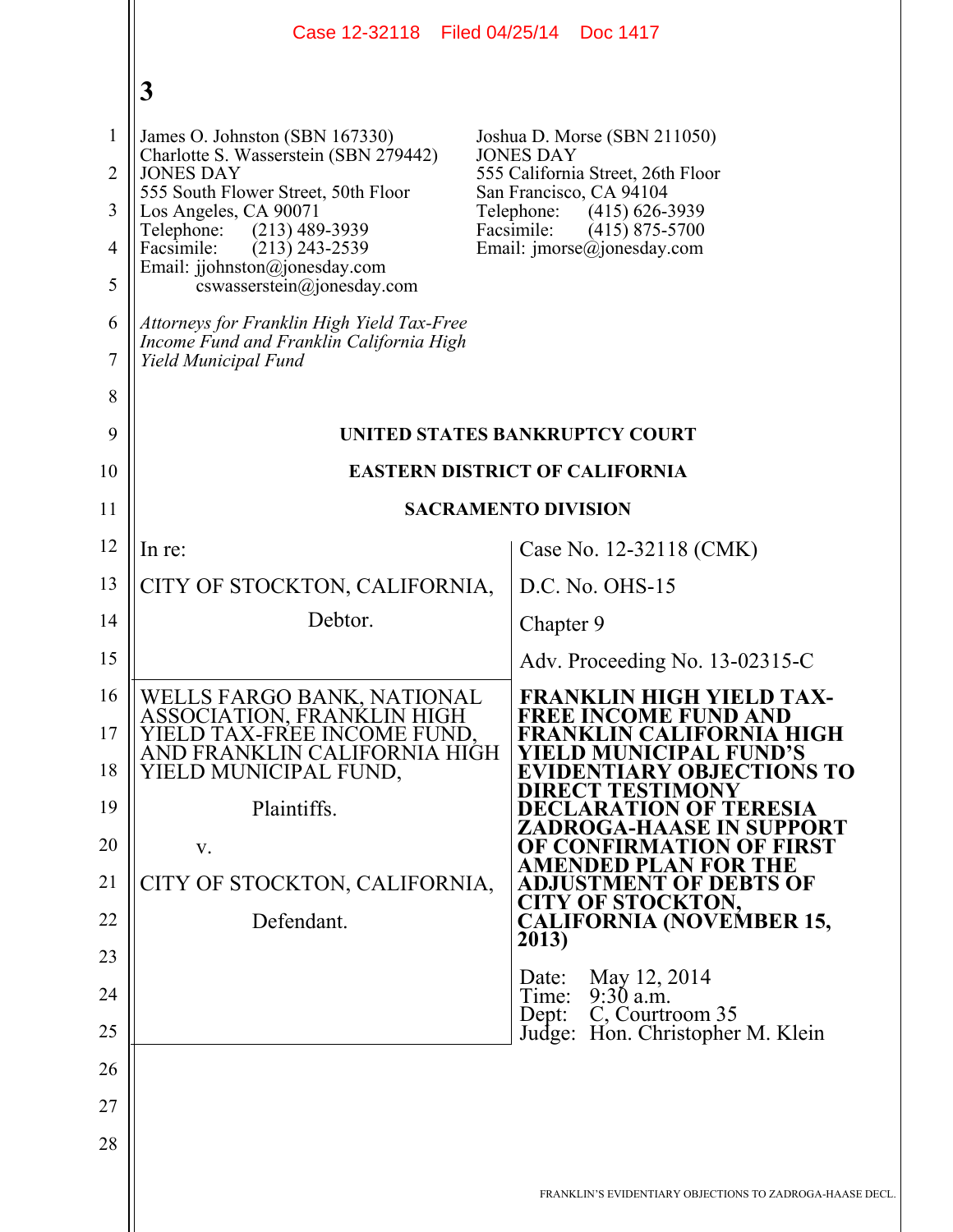|                                                                 | Case 12-32118 Filed 04/25/14 Doc 1417                                                                                                                                                                                                                                                                                                        |                                                                                                                                                                                                                                      |
|-----------------------------------------------------------------|----------------------------------------------------------------------------------------------------------------------------------------------------------------------------------------------------------------------------------------------------------------------------------------------------------------------------------------------|--------------------------------------------------------------------------------------------------------------------------------------------------------------------------------------------------------------------------------------|
|                                                                 | 3                                                                                                                                                                                                                                                                                                                                            |                                                                                                                                                                                                                                      |
| $\mathbf{1}$<br>$\overline{2}$<br>3<br>$\overline{4}$<br>5<br>6 | James O. Johnston (SBN 167330)<br>Charlotte S. Wasserstein (SBN 279442)<br><b>JONES DAY</b><br>555 South Flower Street, 50th Floor<br>Los Angeles, CA 90071<br>Telephone:<br>$(213)$ 489-3939<br>Facsimile:<br>$(213)$ 243-2539<br>Email: jjohnston@jonesday.com<br>cswasserstein@jonesday.com<br>Attorneys for Franklin High Yield Tax-Free | Joshua D. Morse (SBN 211050)<br><b>JONES DAY</b><br>555 California Street, 26th Floor<br>San Francisco, CA 94104<br>Telephone:<br>$(415)$ 626-3939<br>Facsimile:<br>$(415)$ 875-5700<br>Email: $\text{imorse}(\hat{a})$ jonesday.com |
| 7                                                               | Income Fund and Franklin California High<br>Yield Municipal Fund                                                                                                                                                                                                                                                                             |                                                                                                                                                                                                                                      |
| 8                                                               |                                                                                                                                                                                                                                                                                                                                              |                                                                                                                                                                                                                                      |
| 9                                                               | UNITED STATES BANKRUPTCY COURT                                                                                                                                                                                                                                                                                                               |                                                                                                                                                                                                                                      |
| 10<br>11                                                        | <b>EASTERN DISTRICT OF CALIFORNIA</b><br><b>SACRAMENTO DIVISION</b>                                                                                                                                                                                                                                                                          |                                                                                                                                                                                                                                      |
| 12                                                              | In re:                                                                                                                                                                                                                                                                                                                                       | Case No. 12-32118 (CMK)                                                                                                                                                                                                              |
| 13                                                              | CITY OF STOCKTON, CALIFORNIA,                                                                                                                                                                                                                                                                                                                | $D.C. No. OHS-15$                                                                                                                                                                                                                    |
| 14                                                              | Debtor.                                                                                                                                                                                                                                                                                                                                      | Chapter 9                                                                                                                                                                                                                            |
| 15                                                              |                                                                                                                                                                                                                                                                                                                                              | Adv. Proceeding No. 13-02315-C                                                                                                                                                                                                       |
| 16<br>17<br>18                                                  | WELLS FARGO BANK, NATIONAL<br>ASSOCIATION, FRANKLIN HIGH<br>YIELD TAX-FRÉE INCOME FUND,<br>AND FRANKLIN CALIFORNIA HIGH<br>YIELD MUNICIPAL FUND,                                                                                                                                                                                             | FRANKLIN HIGH YIELD TAX-<br><b>FREE INCOME FUND AND</b><br>FRANKLIN CALIFORNIA HIGH<br><b>YIELD MUNICIPAL FUND'S</b><br><b>EVIDENTIARY OBJECTIONS TO</b><br><b>DIRECT TESTIMONY</b>                                                  |
| 19<br>20                                                        | Plaintiffs.                                                                                                                                                                                                                                                                                                                                  | <b>DECLARATION OF TERESIA</b><br>ZADROGA-HAASE IN SUPPORT                                                                                                                                                                            |
| 21                                                              | V.<br>CITY OF STOCKTON, CALIFORNIA,                                                                                                                                                                                                                                                                                                          | OF CONFIRMATION OF FIRST<br>AMENDED PLAN FOR THE<br><b>ADJUSTMENT OF DEBTS OF</b>                                                                                                                                                    |
| 22                                                              | Defendant.                                                                                                                                                                                                                                                                                                                                   | <b>CITY OF STOCKTON,</b><br><b>CALIFORNIA (NOVEMBER 15,</b>                                                                                                                                                                          |
| 23                                                              |                                                                                                                                                                                                                                                                                                                                              | 2013)                                                                                                                                                                                                                                |
| 24                                                              |                                                                                                                                                                                                                                                                                                                                              | May 12, 2014<br>Date:<br>$9:30$ a.m.<br>Time:                                                                                                                                                                                        |
| 25                                                              |                                                                                                                                                                                                                                                                                                                                              | C, Courtroom 35<br>Dept:<br>Judge: Hon. Christopher M. Klein                                                                                                                                                                         |
| 26                                                              |                                                                                                                                                                                                                                                                                                                                              |                                                                                                                                                                                                                                      |
| 27                                                              |                                                                                                                                                                                                                                                                                                                                              |                                                                                                                                                                                                                                      |
| 28                                                              |                                                                                                                                                                                                                                                                                                                                              |                                                                                                                                                                                                                                      |
|                                                                 |                                                                                                                                                                                                                                                                                                                                              | FRANKLIN'S EVIDENTIARY OBJECTIONS TO ZADROGA-HAASE DECL.                                                                                                                                                                             |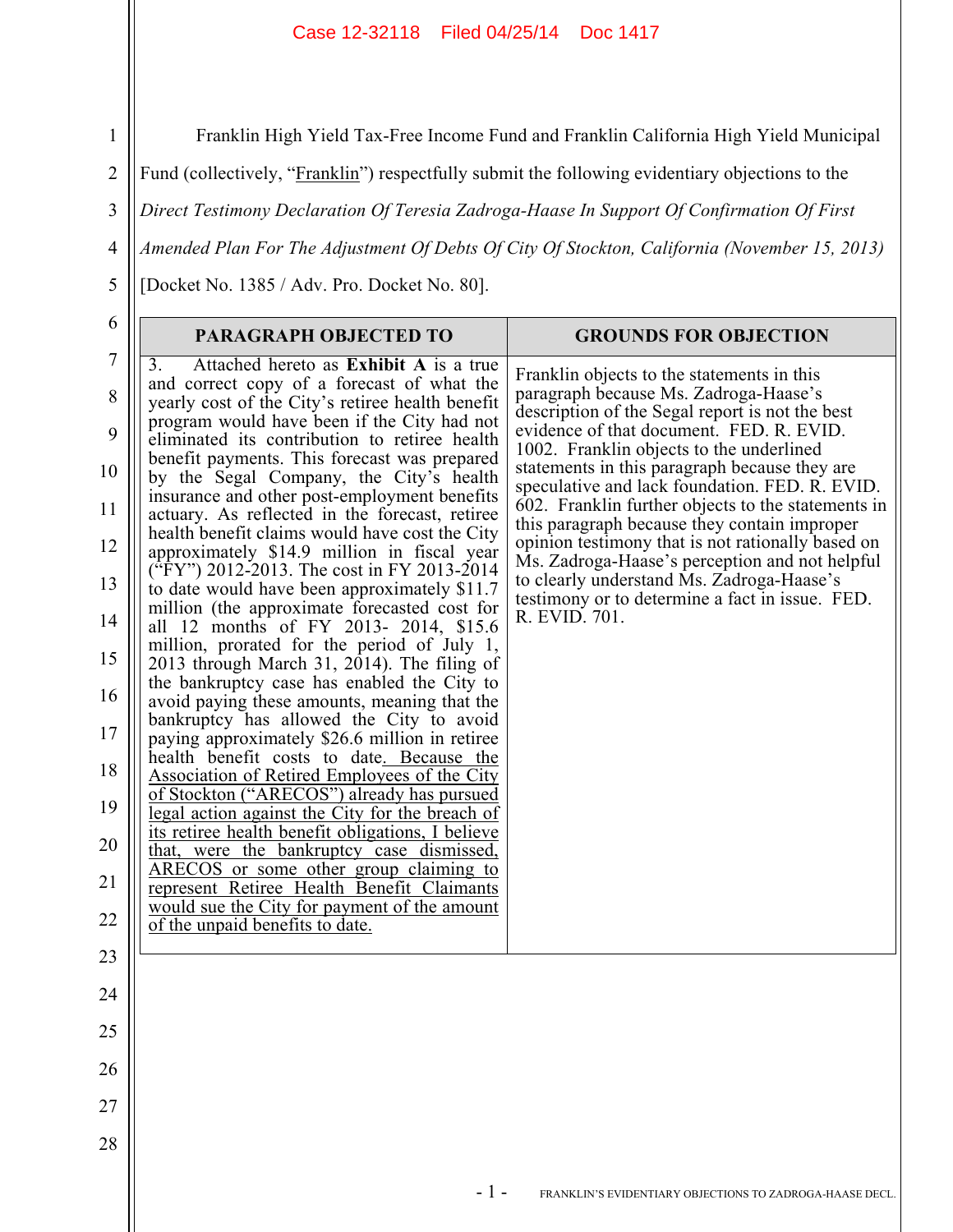Franklin High Yield Tax-Free Income Fund and Franklin California High Yield Municipal

Fund (collectively, "Franklin") respectfully submit the following evidentiary objections to the

3 *Direct Testimony Declaration Of Teresia Zadroga-Haase In Support Of Confirmation Of First* 

4 *Amended Plan For The Adjustment Of Debts Of City Of Stockton, California (November 15, 2013)* 

[Docket No. 1385 / Adv. Pro. Docket No. 80].

1

2

5

| 6                                                                                              | <b>PARAGRAPH OBJECTED TO</b>                                                                                                                                                                                                                                                                                                                                                                                                                                                                                                                                                                                                                                                                                                                                                                                                                                                                                                                                                                                                                                                                                                                                                                                                                                                                                                                                                                                                                                                                                  | <b>GROUNDS FOR OBJECTION</b>                                                                                                                                                                                                                                                                                                                                                                                                                                                                                                                                                                                                                                    |
|------------------------------------------------------------------------------------------------|---------------------------------------------------------------------------------------------------------------------------------------------------------------------------------------------------------------------------------------------------------------------------------------------------------------------------------------------------------------------------------------------------------------------------------------------------------------------------------------------------------------------------------------------------------------------------------------------------------------------------------------------------------------------------------------------------------------------------------------------------------------------------------------------------------------------------------------------------------------------------------------------------------------------------------------------------------------------------------------------------------------------------------------------------------------------------------------------------------------------------------------------------------------------------------------------------------------------------------------------------------------------------------------------------------------------------------------------------------------------------------------------------------------------------------------------------------------------------------------------------------------|-----------------------------------------------------------------------------------------------------------------------------------------------------------------------------------------------------------------------------------------------------------------------------------------------------------------------------------------------------------------------------------------------------------------------------------------------------------------------------------------------------------------------------------------------------------------------------------------------------------------------------------------------------------------|
| $\tau$<br>8<br>9<br>10<br>11<br>12<br>13<br>14<br>15<br>16<br>17<br>18<br>19<br>20<br>21<br>22 | Attached hereto as Exhibit A is a true<br>3.<br>and correct copy of a forecast of what the<br>yearly cost of the City's retiree health benefit<br>program would have been if the City had not<br>eliminated its contribution to retiree health<br>benefit payments. This forecast was prepared<br>by the Segal Company, the City's health<br>insurance and other post-employment benefits<br>actuary. As reflected in the forecast, retiree<br>health benefit claims would have cost the City<br>approximately \$14.9 million in fiscal year<br>("FY") 2012-2013. The cost in FY 2013-2014<br>to date would have been approximately \$11.7<br>million (the approximate forecasted cost for<br>all 12 months of FY 2013- 2014, \$15.6<br>million, prorated for the period of July 1,<br>2013 through March 31, $2014$ ). The filing of<br>the bankruptcy case has enabled the City to<br>avoid paying these amounts, meaning that the<br>bankruptcy has allowed the City to avoid<br>paying approximately \$26.6 million in retiree<br>health benefit costs to date. Because the<br>Association of Retired Employees of the City<br>of Stockton ("ARECOS") already has pursued<br>legal action against the City for the breach of<br>its retiree health benefit obligations, I believe<br>that, were the bankruptcy case dismissed,<br>ARECOS or some other group claiming to<br>represent Retiree Health Benefit Claimants<br>would sue the City for payment of the amount<br>of the unpaid benefits to date. | Franklin objects to the statements in this<br>paragraph because Ms. Zadroga-Haase's<br>description of the Segal report is not the best<br>evidence of that document. FED. R. EVID.<br>1002. Franklin objects to the underlined<br>statements in this paragraph because they are<br>speculative and lack foundation. FED. R. EVID.<br>602. Franklin further objects to the statements in<br>this paragraph because they contain improper<br>opinion testimony that is not rationally based on<br>Ms. Zadroga-Haase's perception and not helpful<br>to clearly understand Ms. Zadroga-Haase's<br>testimony or to determine a fact in issue. FED.<br>R. EVID. 701. |
| 23                                                                                             |                                                                                                                                                                                                                                                                                                                                                                                                                                                                                                                                                                                                                                                                                                                                                                                                                                                                                                                                                                                                                                                                                                                                                                                                                                                                                                                                                                                                                                                                                                               |                                                                                                                                                                                                                                                                                                                                                                                                                                                                                                                                                                                                                                                                 |
| 24                                                                                             |                                                                                                                                                                                                                                                                                                                                                                                                                                                                                                                                                                                                                                                                                                                                                                                                                                                                                                                                                                                                                                                                                                                                                                                                                                                                                                                                                                                                                                                                                                               |                                                                                                                                                                                                                                                                                                                                                                                                                                                                                                                                                                                                                                                                 |
| 25                                                                                             |                                                                                                                                                                                                                                                                                                                                                                                                                                                                                                                                                                                                                                                                                                                                                                                                                                                                                                                                                                                                                                                                                                                                                                                                                                                                                                                                                                                                                                                                                                               |                                                                                                                                                                                                                                                                                                                                                                                                                                                                                                                                                                                                                                                                 |
| 26                                                                                             |                                                                                                                                                                                                                                                                                                                                                                                                                                                                                                                                                                                                                                                                                                                                                                                                                                                                                                                                                                                                                                                                                                                                                                                                                                                                                                                                                                                                                                                                                                               |                                                                                                                                                                                                                                                                                                                                                                                                                                                                                                                                                                                                                                                                 |
| 27                                                                                             |                                                                                                                                                                                                                                                                                                                                                                                                                                                                                                                                                                                                                                                                                                                                                                                                                                                                                                                                                                                                                                                                                                                                                                                                                                                                                                                                                                                                                                                                                                               |                                                                                                                                                                                                                                                                                                                                                                                                                                                                                                                                                                                                                                                                 |
| 28                                                                                             |                                                                                                                                                                                                                                                                                                                                                                                                                                                                                                                                                                                                                                                                                                                                                                                                                                                                                                                                                                                                                                                                                                                                                                                                                                                                                                                                                                                                                                                                                                               |                                                                                                                                                                                                                                                                                                                                                                                                                                                                                                                                                                                                                                                                 |
|                                                                                                | $-1-$                                                                                                                                                                                                                                                                                                                                                                                                                                                                                                                                                                                                                                                                                                                                                                                                                                                                                                                                                                                                                                                                                                                                                                                                                                                                                                                                                                                                                                                                                                         | FRANKLIN'S EVIDENTIARY OBJECTIONS TO ZADROGA-HAASE DECL.                                                                                                                                                                                                                                                                                                                                                                                                                                                                                                                                                                                                        |